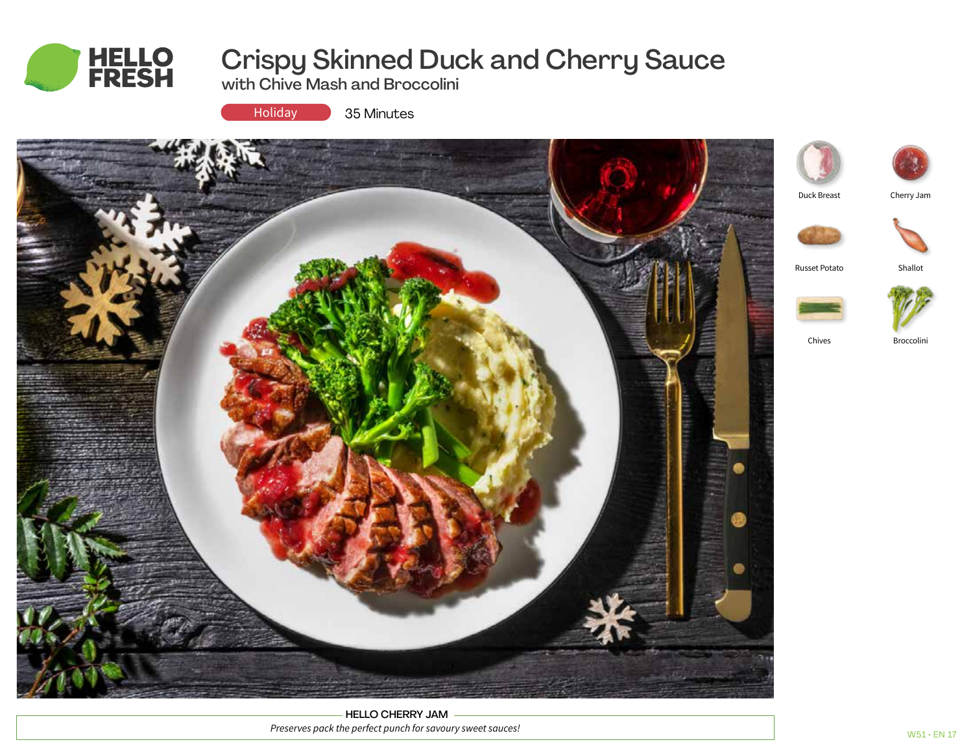

# Crispy Skinned Duck and Cherry Sauce

with Chive Mash and Broccolini



35 Minutes



HELLO CHERRY JAM *Preserves pack the perfect punch for savoury sweet sauces!*